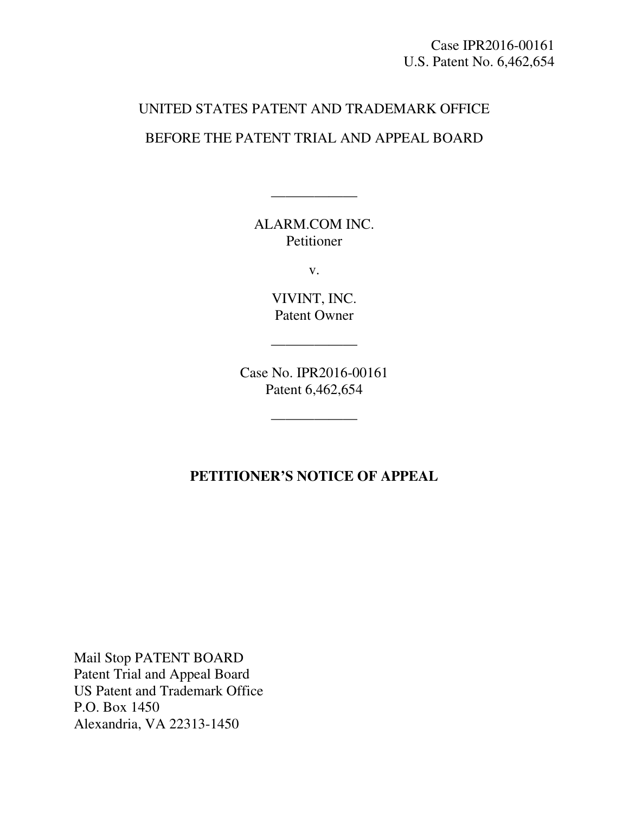Case IPR2016-00161 U.S. Patent No. 6,462,654

## UNITED STATES PATENT AND TRADEMARK OFFICE BEFORE THE PATENT TRIAL AND APPEAL BOARD

ALARM.COM INC. Petitioner

——————

v.

VIVINT, INC. Patent Owner

——————

Case No. IPR2016-00161 Patent 6,462,654

——————

## **PETITIONER'S NOTICE OF APPEAL**

Mail Stop PATENT BOARD Patent Trial and Appeal Board US Patent and Trademark Office P.O. Box 1450 Alexandria, VA 22313-1450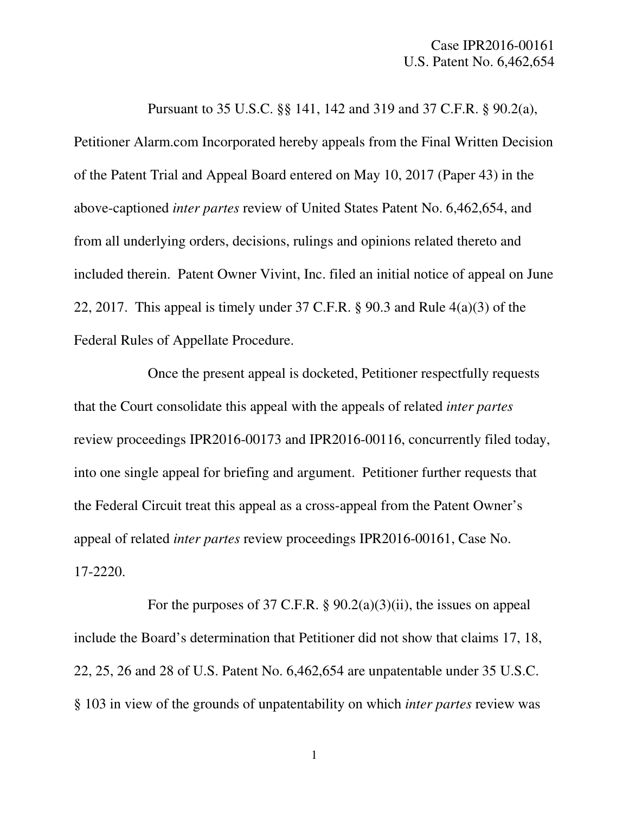Pursuant to 35 U.S.C. §§ 141, 142 and 319 and 37 C.F.R. § 90.2(a), Petitioner Alarm.com Incorporated hereby appeals from the Final Written Decision of the Patent Trial and Appeal Board entered on May 10, 2017 (Paper 43) in the above-captioned *inter partes* review of United States Patent No. 6,462,654, and from all underlying orders, decisions, rulings and opinions related thereto and included therein. Patent Owner Vivint, Inc. filed an initial notice of appeal on June 22, 2017. This appeal is timely under 37 C.F.R. § 90.3 and Rule 4(a)(3) of the Federal Rules of Appellate Procedure.

Once the present appeal is docketed, Petitioner respectfully requests that the Court consolidate this appeal with the appeals of related *inter partes*  review proceedings IPR2016-00173 and IPR2016-00116, concurrently filed today, into one single appeal for briefing and argument. Petitioner further requests that the Federal Circuit treat this appeal as a cross-appeal from the Patent Owner's appeal of related *inter partes* review proceedings IPR2016-00161, Case No. 17-2220.

For the purposes of 37 C.F.R. § 90.2(a)(3)(ii), the issues on appeal include the Board's determination that Petitioner did not show that claims 17, 18, 22, 25, 26 and 28 of U.S. Patent No. 6,462,654 are unpatentable under 35 U.S.C. § 103 in view of the grounds of unpatentability on which *inter partes* review was

1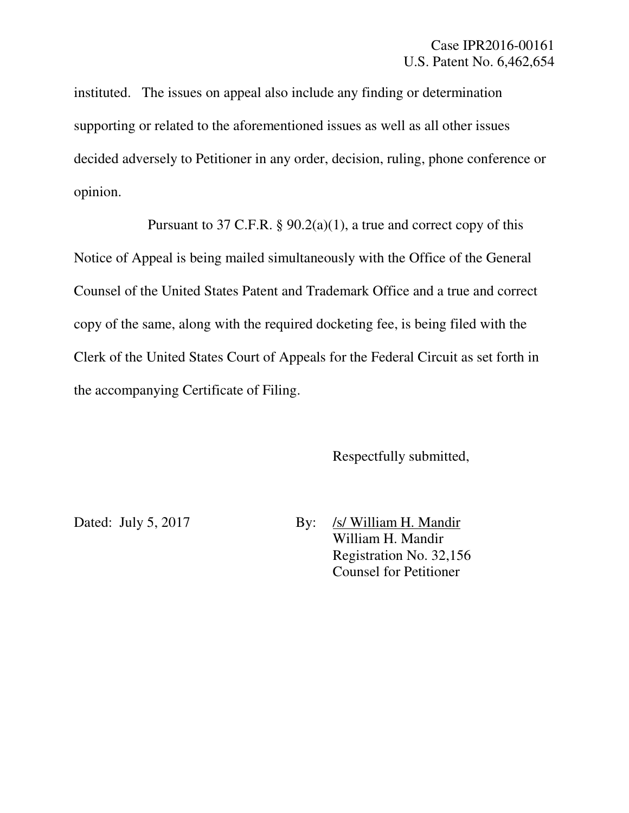instituted. The issues on appeal also include any finding or determination supporting or related to the aforementioned issues as well as all other issues decided adversely to Petitioner in any order, decision, ruling, phone conference or opinion.

Pursuant to 37 C.F.R.  $\S$  90.2(a)(1), a true and correct copy of this Notice of Appeal is being mailed simultaneously with the Office of the General Counsel of the United States Patent and Trademark Office and a true and correct copy of the same, along with the required docketing fee, is being filed with the Clerk of the United States Court of Appeals for the Federal Circuit as set forth in the accompanying Certificate of Filing.

Respectfully submitted,

Dated: July 5, 2017 By: /s/ William H. Mandir William H. Mandir Registration No. 32,156 Counsel for Petitioner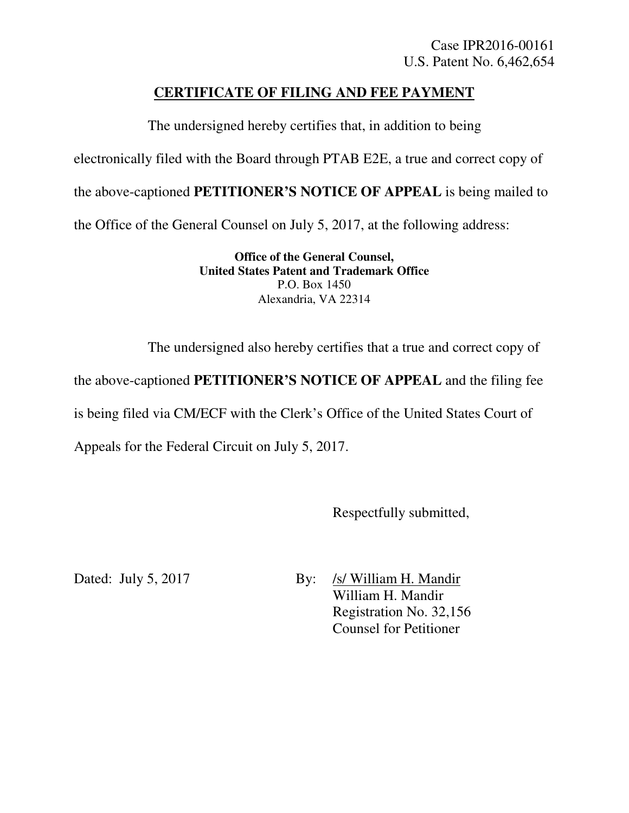## **CERTIFICATE OF FILING AND FEE PAYMENT**

The undersigned hereby certifies that, in addition to being electronically filed with the Board through PTAB E2E, a true and correct copy of the above-captioned **PETITIONER'S NOTICE OF APPEAL** is being mailed to the Office of the General Counsel on July 5, 2017, at the following address:

> **Office of the General Counsel, United States Patent and Trademark Office**  P.O. Box 1450 Alexandria, VA 22314

The undersigned also hereby certifies that a true and correct copy of

the above-captioned **PETITIONER'S NOTICE OF APPEAL** and the filing fee

is being filed via CM/ECF with the Clerk's Office of the United States Court of

Appeals for the Federal Circuit on July 5, 2017.

Respectfully submitted,

Dated: July 5, 2017 By: /s/ William H. Mandir William H. Mandir Registration No. 32,156 Counsel for Petitioner